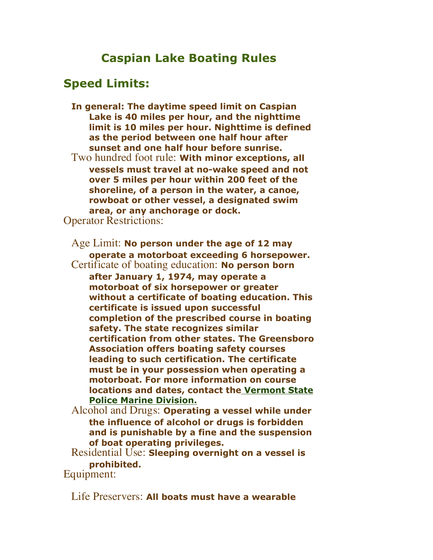## **Caspian Lake Boating Rules**

## **Speed Limits:**

**In general: The daytime speed limit on Caspian Lake is 40 miles per hour, and the nighttime limit is 10 miles per hour. Nighttime is defined as the period between one half hour after sunset and one half hour before sunrise.** Two hundred foot rule: **With minor exceptions, all vessels must travel at no-wake speed and not over 5 miles per hour within 200 feet of the shoreline, of a person in the water, a canoe, rowboat or other vessel, a designated swim area, or any anchorage or dock.** Operator Restrictions:

Age Limit: **No person under the age of 12 may operate a motorboat exceeding 6 horsepower.** Certificate of boating education: **No person born after January 1, 1974, may operate a motorboat of six horsepower or greater without a certificate of boating education. This certificate is issued upon successful completion of the prescribed course in boating safety. The state recognizes similar certification from other states. The Greensboro Association offers boating safety courses leading to such certification. The certificate must be in your possession when operating a motorboat. For more information on course locations and dates, contact the Vermont State Police Marine Division.**

Alcohol and Drugs: **Operating a vessel while under the influence of alcohol or drugs is forbidden and is punishable by a fine and the suspension of boat operating privileges.**

Residential Use: **Sleeping overnight on a vessel is prohibited.**

Equipment:

Life Preservers: **All boats must have a wearable**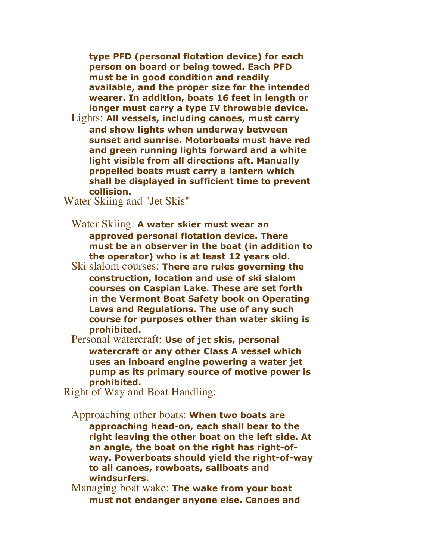**type PFD (personal flotation device) for each person on board or being towed. Each PFD must be in good condition and readily available, and the proper size for the intended wearer. In addition, boats 16 feet in length or longer must carry a type IV throwable device.** Lights: **All vessels, including canoes, must carry and show lights when underway between sunset and sunrise. Motorboats must have red and green running lights forward and a white light visible from all directions aft. Manually propelled boats must carry a lantern which shall be displayed in sufficient time to prevent collision.**

Water Skiing and "Jet Skis"

Water Skiing: **A water skier must wear an approved personal flotation device. There must be an observer in the boat (in addition to the operator) who is at least 12 years old.**

- Ski slalom courses: **There are rules governing the construction, location and use of ski slalom courses on Caspian Lake. These are set forth in the Vermont Boat Safety book on Operating Laws and Regulations. The use of any such course for purposes other than water skiing is prohibited.**
- Personal watercraft: **Use of jet skis, personal watercraft or any other Class A vessel which uses an inboard engine powering a water jet pump as its primary source of motive power is prohibited.**

Right of Way and Boat Handling:

Approaching other boats: **When two boats are approaching head-on, each shall bear to the right leaving the other boat on the left side. At an angle, the boat on the right has right-ofway. Powerboats should yield the right-of-way to all canoes, rowboats, sailboats and windsurfers.**

Managing boat wake: **The wake from your boat must not endanger anyone else. Canoes and**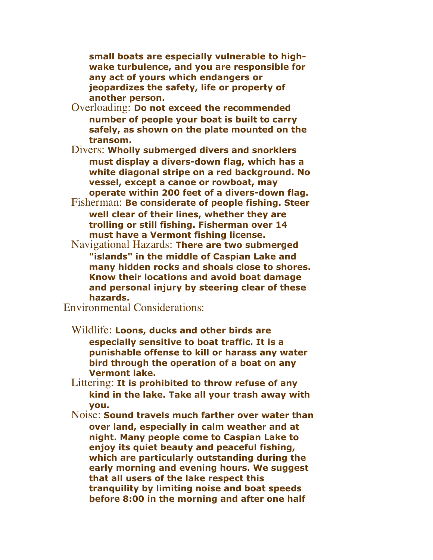**small boats are especially vulnerable to highwake turbulence, and you are responsible for any act of yours which endangers or jeopardizes the safety, life or property of another person.**

- Overloading: **Do not exceed the recommended number of people your boat is built to carry safely, as shown on the plate mounted on the transom.**
- Divers: **Wholly submerged divers and snorklers must display a divers-down flag, which has a white diagonal stripe on a red background. No vessel, except a canoe or rowboat, may operate within 200 feet of a divers-down flag.**
- Fisherman: **Be considerate of people fishing. Steer well clear of their lines, whether they are trolling or still fishing. Fisherman over 14 must have a Vermont fishing license.**
- Navigational Hazards: **There are two submerged "islands" in the middle of Caspian Lake and many hidden rocks and shoals close to shores. Know their locations and avoid boat damage and personal injury by steering clear of these hazards.**

Environmental Considerations:

- Wildlife: **Loons, ducks and other birds are especially sensitive to boat traffic. It is a punishable offense to kill or harass any water bird through the operation of a boat on any Vermont lake.**
- Littering: **It is prohibited to throw refuse of any kind in the lake. Take all your trash away with you.**
- Noise: **Sound travels much farther over water than over land, especially in calm weather and at night. Many people come to Caspian Lake to enjoy its quiet beauty and peaceful fishing, which are particularly outstanding during the early morning and evening hours. We suggest that all users of the lake respect this tranquility by limiting noise and boat speeds before 8:00 in the morning and after one half**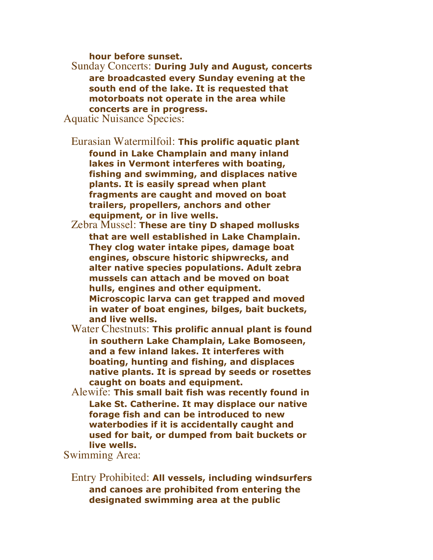**hour before sunset.**

Sunday Concerts: **During July and August, concerts are broadcasted every Sunday evening at the south end of the lake. It is requested that motorboats not operate in the area while concerts are in progress.**

Aquatic Nuisance Species:

Eurasian Watermilfoil: **This prolific aquatic plant found in Lake Champlain and many inland lakes in Vermont interferes with boating, fishing and swimming, and displaces native plants. It is easily spread when plant fragments are caught and moved on boat trailers, propellers, anchors and other equipment, or in live wells.**

Zebra Mussel: **These are tiny D shaped mollusks that are well established in Lake Champlain. They clog water intake pipes, damage boat engines, obscure historic shipwrecks, and alter native species populations. Adult zebra mussels can attach and be moved on boat hulls, engines and other equipment. Microscopic larva can get trapped and moved in water of boat engines, bilges, bait buckets, and live wells.**

Water Chestnuts: **This prolific annual plant is found in southern Lake Champlain, Lake Bomoseen, and a few inland lakes. It interferes with boating, hunting and fishing, and displaces native plants. It is spread by seeds or rosettes caught on boats and equipment.**

Alewife: **This small bait fish was recently found in Lake St. Catherine. It may displace our native forage fish and can be introduced to new waterbodies if it is accidentally caught and used for bait, or dumped from bait buckets or live wells.**

Swimming Area:

Entry Prohibited: **All vessels, including windsurfers and canoes are prohibited from entering the designated swimming area at the public**